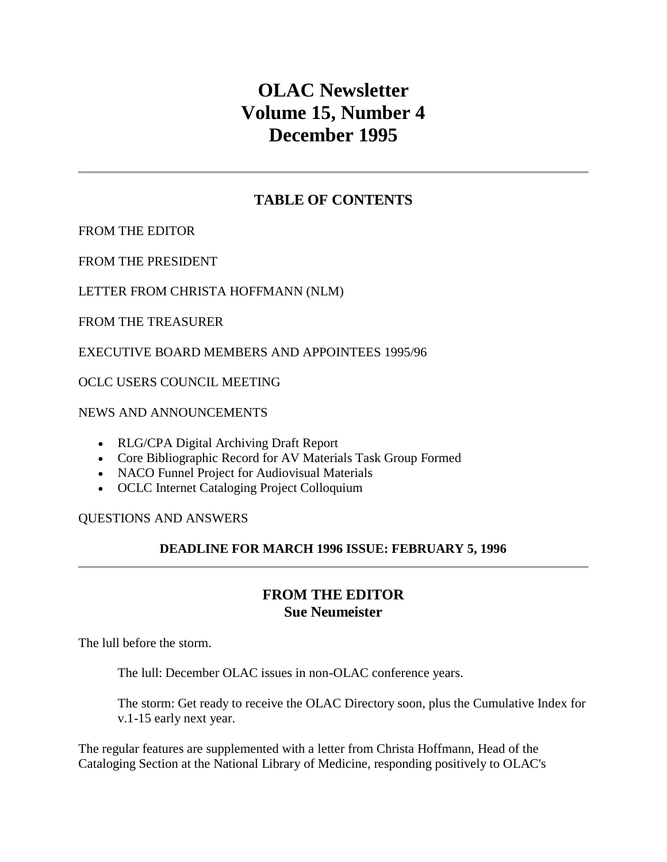# **OLAC Newsletter Volume 15, Number 4 December 1995**

# **TABLE OF CONTENTS**

[FROM THE EDITOR](http://ublib.buffalo.edu/libraries/units/cts/olac/newsletters/dec95.html#editor)

[FROM THE PRESIDENT](http://ublib.buffalo.edu/libraries/units/cts/olac/newsletters/dec95.html#president)

[LETTER FROM CHRISTA HOFFMANN \(NLM\)](http://ublib.buffalo.edu/libraries/units/cts/olac/newsletters/dec95.html#hoffmann)

[FROM THE TREASURER](http://ublib.buffalo.edu/libraries/units/cts/olac/newsletters/dec95.html#treasurer)

[EXECUTIVE BOARD MEMBERS AND APPOINTEES 1995/96](http://ublib.buffalo.edu/libraries/units/cts/olac/newsletters/dec95.html#board)

[OCLC USERS COUNCIL MEETING](http://ublib.buffalo.edu/libraries/units/cts/olac/newsletters/dec95.html#council)

[NEWS AND ANNOUNCEMENTS](http://ublib.buffalo.edu/libraries/units/cts/olac/newsletters/dec95.html#n&a)

- [RLG/CPA Digital Archiving Draft Report](http://ublib.buffalo.edu/libraries/units/cts/olac/newsletters/dec95.html#rlgcpa)
- [Core Bibliographic Record for AV Materials Task Group Formed](http://ublib.buffalo.edu/libraries/units/cts/olac/newsletters/dec95.html#core)
- [NACO Funnel Project for Audiovisual Materials](http://ublib.buffalo.edu/libraries/units/cts/olac/newsletters/dec95.html#naco)
- [OCLC Internet Cataloging Project Colloquium](http://ublib.buffalo.edu/libraries/units/cts/olac/newsletters/dec95.html#intercat)

#### [QUESTIONS AND ANSWERS](http://ublib.buffalo.edu/libraries/units/cts/olac/newsletters/dec95.html#qanda)

## **DEADLINE FOR [MARCH 1996 ISSUE:](http://ublib.buffalo.edu/libraries/units/cts/olac/newsletters/march96.html) FEBRUARY 5, 1996**

# **FROM THE EDITOR Sue Neumeister**

The lull before the storm.

The lull: December OLAC issues in non-OLAC conference years.

The storm: Get ready to receive the OLAC Directory soon, plus the Cumulative Index for v.1-15 early next year.

The regular features are supplemented with a [letter from Christa Hoffmann,](http://ublib.buffalo.edu/libraries/units/cts/olac/newsletters/dec95.html#hoffmann) Head of the Cataloging Section at the National Library of Medicine, responding positively to OLAC's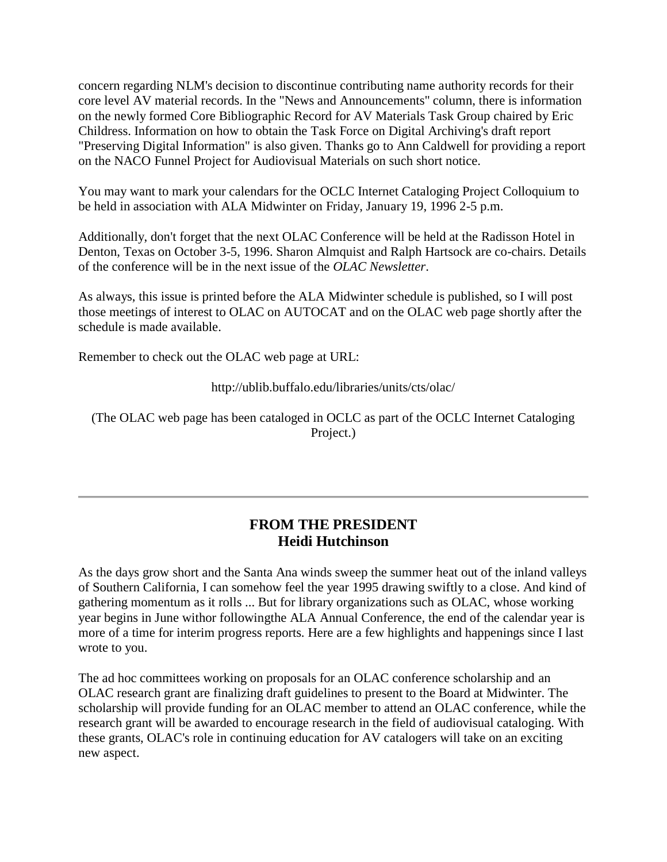concern regarding NLM's decision to discontinue contributing name authority records for their core level AV material records. In the "News and Announcements" column, there is information on the newly formed [Core Bibliographic Record for AV Materials Task Group](http://ublib.buffalo.edu/libraries/units/cts/olac/newsletters/dec95.html#core) chaired by Eric Childress. Information on how to obtain the Task Force on Digital Archiving's draft report "Preserving [Digital Information"](http://ublib.buffalo.edu/libraries/units/cts/olac/newsletters/dec95.html#rlgcpa) is also given. Thanks go to Ann Caldwell for providing a report on the [NACO Funnel Project for Audiovisual Materials](http://ublib.buffalo.edu/libraries/units/cts/olac/newsletters/dec95.html#naco) on such short notice.

You may want to mark your calendars for the [OCLC Internet Cataloging Project Colloquium](http://ublib.buffalo.edu/libraries/units/cts/olac/newsletters/dec95.html#intercat) to be held in association with ALA Midwinter on Friday, January 19, 1996 2-5 p.m.

Additionally, don't forget that the next OLAC Conference will be held at the Radisson Hotel in Denton, Texas on October 3-5, 1996. Sharon Almquist and Ralph Hartsock are co-chairs. Details of the conference will be in the next issue of the *OLAC Newsletter*.

As always, this issue is printed before the ALA Midwinter schedule is published, so I will post those meetings of interest to OLAC on AUTOCAT and on the OLAC web page shortly after the schedule is made available.

Remember to check out the OLAC web page at URL:

<http://ublib.buffalo.edu/libraries/units/cts/olac/>

(The OLAC web page has been cataloged in OCLC as part of the OCLC Internet Cataloging Project.)

# **FROM THE PRESIDENT Heidi Hutchinson**

As the days grow short and the Santa Ana winds sweep the summer heat out of the inland valleys of Southern California, I can somehow feel the year 1995 drawing swiftly to a close. And kind of gathering momentum as it rolls ... But for library organizations such as OLAC, whose working year begins in June withor followingthe ALA Annual Conference, the end of the calendar year is more of a time for interim progress reports. Here are a few highlights and happenings since I last wrote to you.

The ad hoc committees working on proposals for an OLAC conference scholarship and an OLAC research grant are finalizing draft guidelines to present to the Board at Midwinter. The scholarship will provide funding for an OLAC member to attend an OLAC conference, while the research grant will be awarded to encourage research in the field of audiovisual cataloging. With these grants, OLAC's role in continuing education for AV catalogers will take on an exciting new aspect.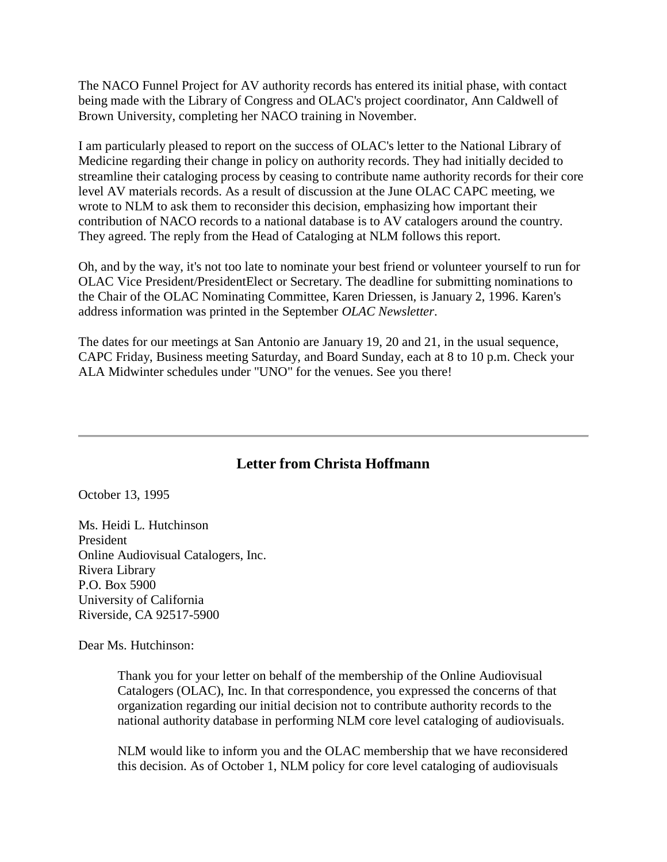The NACO Funnel Project for AV authority records has entered its initial phase, with contact being made with the Library of Congress and OLAC's project coordinator, Ann Caldwell of Brown University, completing her NACO training in November.

I am particularly pleased to report on the success of OLAC's letter to the National Library of Medicine regarding their change in policy on authority records. They had initially decided to streamline their cataloging process by ceasing to contribute name authority records for their core level AV materials records. As a result of discussion at the June OLAC CAPC meeting, we wrote to NLM to ask them to reconsider this decision, emphasizing how important their contribution of NACO records to a national database is to AV catalogers around the country. They agreed. The reply from the Head of Cataloging at NLM follows this report.

Oh, and by the way, it's not too late to nominate your best friend or volunteer yourself to run for OLAC Vice President/PresidentElect or Secretary. The deadline for submitting nominations to the Chair of the OLAC Nominating Committee, Karen Driessen, is January 2, 1996. Karen's address information was printed in the September *OLAC Newsletter*.

The dates for our meetings at San Antonio are January 19, 20 and 21, in the usual sequence, CAPC Friday, Business meeting Saturday, and Board Sunday, each at 8 to 10 p.m. Check your ALA Midwinter schedules under "UNO" for the venues. See you there!

# **Letter from Christa Hoffmann**

October 13, 1995

Ms. Heidi L. Hutchinson President Online Audiovisual Catalogers, Inc. Rivera Library P.O. Box 5900 University of California Riverside, CA 92517-5900

Dear Ms. Hutchinson:

Thank you for your letter on behalf of the membership of the Online Audiovisual Catalogers (OLAC), Inc. In that correspondence, you expressed the concerns of that organization regarding our initial decision not to contribute authority records to the national authority database in performing NLM core level cataloging of audiovisuals.

NLM would like to inform you and the OLAC membership that we have reconsidered this decision. As of October 1, NLM policy for core level cataloging of audiovisuals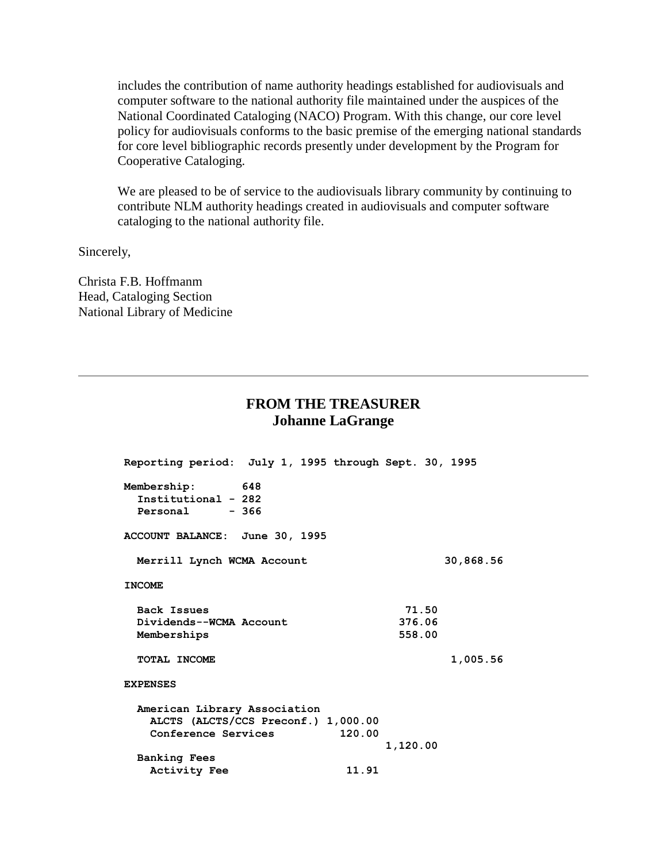includes the contribution of name authority headings established for audiovisuals and computer software to the national authority file maintained under the auspices of the National Coordinated Cataloging (NACO) Program. With this change, our core level policy for audiovisuals conforms to the basic premise of the emerging national standards for core level bibliographic records presently under development by the Program for Cooperative Cataloging.

We are pleased to be of service to the audiovisuals library community by continuing to contribute NLM authority headings created in audiovisuals and computer software cataloging to the national authority file.

Sincerely,

Christa F.B. Hoffmanm Head, Cataloging Section National Library of Medicine

## **FROM THE TREASURER Johanne LaGrange**

| Reporting period: July 1, 1995 through Sept. 30, 1995    |       |          |           |
|----------------------------------------------------------|-------|----------|-----------|
| Membership: 648<br>Institutional - 282<br>Personal - 366 |       |          |           |
| ACCOUNT BALANCE: June 30, 1995                           |       |          |           |
| Merrill Lynch WCMA Account                               |       |          | 30,868.56 |
| <b>INCOME</b>                                            |       |          |           |
| Back Issues                                              |       | 71.50    |           |
| Dividends--WCMA Account                                  |       | 376.06   |           |
| Memberships                                              |       | 558.00   |           |
| TOTAL INCOME                                             |       |          | 1,005.56  |
| <b>EXPENSES</b>                                          |       |          |           |
| American Library Association                             |       |          |           |
| ALCTS (ALCTS/CCS Preconf.) 1,000.00                      |       |          |           |
| Conference Services 120.00                               |       |          |           |
|                                                          |       | 1,120.00 |           |
| <b>Banking Fees</b>                                      |       |          |           |
| <b>Activity Fee</b>                                      | 11.91 |          |           |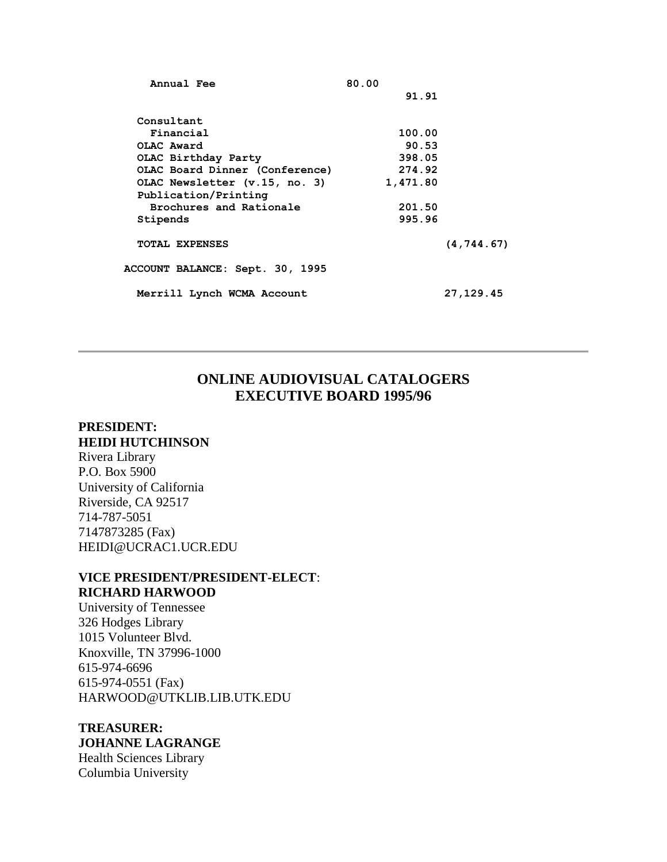| Annual Fee                      | 80.00    |             |
|---------------------------------|----------|-------------|
|                                 | 91.91    |             |
|                                 |          |             |
| Consultant                      |          |             |
| Financial                       | 100.00   |             |
| OLAC Award                      | 90.53    |             |
| OLAC Birthday Party             | 398.05   |             |
| OLAC Board Dinner (Conference)  | 274.92   |             |
| OLAC Newsletter (v.15, no. 3)   | 1,471.80 |             |
| Publication/Printing            |          |             |
| Brochures and Rationale         | 201.50   |             |
| Stipends                        | 995.96   |             |
|                                 |          |             |
| <b>TOTAL EXPENSES</b>           |          | (4, 744.67) |
|                                 |          |             |
| ACCOUNT BALANCE: Sept. 30, 1995 |          |             |
| Merrill Lynch WCMA Account      |          | 27,129.45   |
|                                 |          |             |

# **ONLINE AUDIOVISUAL CATALOGERS EXECUTIVE BOARD 1995/96**

#### **PRESIDENT: HEIDI HUTCHINSON**

Rivera Library P.O. Box 5900 University of California Riverside, CA 92517 714-787-5051 7147873285 (Fax) [HEIDI@UCRAC1.UCR.EDU](mailto:heidi@ucrac1.ucr.edu)

## **VICE PRESIDENT/PRESIDENT-ELECT**: **RICHARD HARWOOD**

University of Tennessee 326 Hodges Library 1015 Volunteer Blvd. Knoxville, TN 37996-1000 615-974-6696 615-974-0551 (Fax) [HARWOOD@UTKLIB.LIB.UTK.EDU](mailto:harwood@utklib.lib.utk.edu)

## **TREASURER: JOHANNE LAGRANGE** Health Sciences Library Columbia University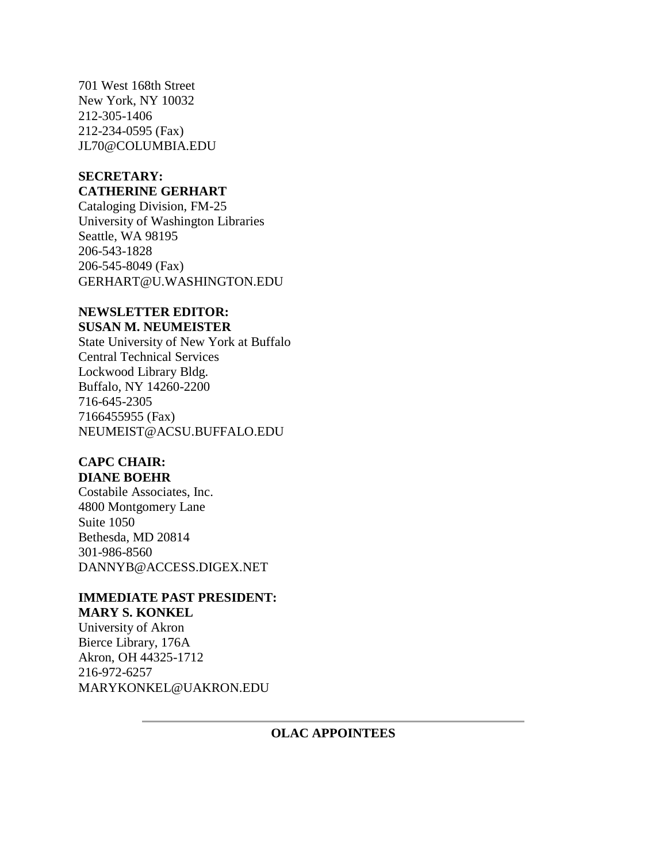701 West 168th Street New York, NY 10032 212-305-1406 212-234-0595 (Fax) [JL70@COLUMBIA.EDU](mailto:jl70@columbia.edu)

#### **SECRETARY: CATHERINE GERHART**

Cataloging Division, FM-25 University of Washington Libraries Seattle, WA 98195 206-543-1828 206-545-8049 (Fax) [GERHART@U.WASHINGTON.EDU](mailto:gerhart@u.washington.edu)

#### **NEWSLETTER EDITOR: SUSAN M. NEUMEISTER**

State University of New York at Buffalo Central Technical Services Lockwood Library Bldg. Buffalo, NY 14260-2200 716-645-2305 7166455955 (Fax) [NEUMEIST@ACSU.BUFFALO.EDU](mailto:neumeist@acsu.buffalo.edu)

#### **CAPC CHAIR: DIANE BOEHR**

Costabile Associates, Inc. 4800 Montgomery Lane Suite 1050 Bethesda, MD 20814 301-986-8560 [DANNYB@ACCESS.DIGEX.NET](mailto:danny@access.digex.net)

#### **IMMEDIATE PAST PRESIDENT: MARY S. KONKEL**

University of Akron Bierce Library, 176A Akron, OH 44325-1712 216-972-6257 [MARYKONKEL@UAKRON.EDU](mailto:marykonkel@uakron.edu)

## **OLAC APPOINTEES**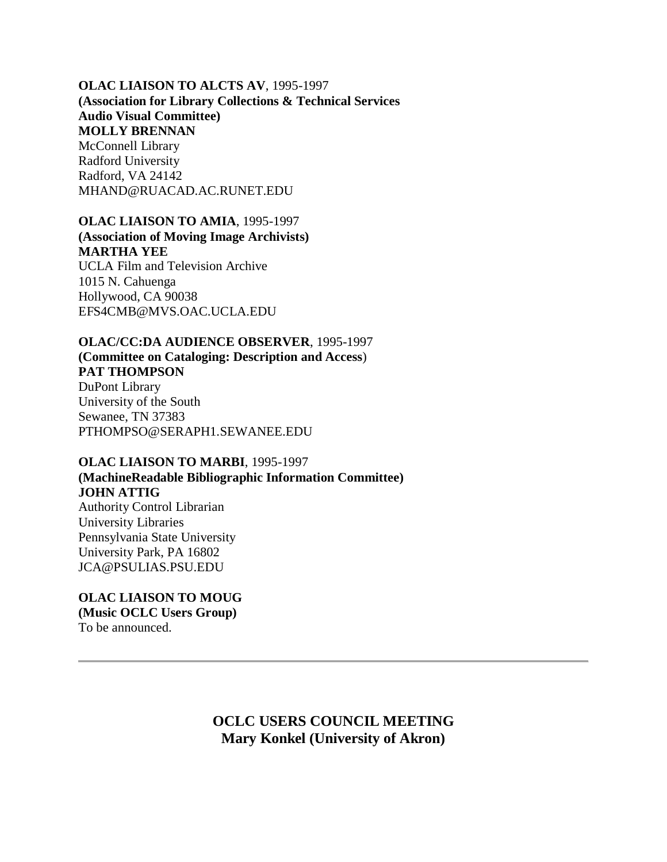#### **OLAC LIAISON TO ALCTS AV**, 1995-1997 **(Association for Library Collections & Technical Services Audio Visual Committee) MOLLY BRENNAN** McConnell Library Radford University Radford, VA 24142 MHAND@RUACAD.AC.RUNET.EDU

## **OLAC LIAISON TO AMIA**, 1995-1997 **(Association of Moving Image Archivists) MARTHA YEE** UCLA Film and Television Archive 1015 N. Cahuenga Hollywood, CA 90038

[EFS4CMB@MVS.OAC.UCLA.EDU](mailto:efs4cmb@mvs.oac.ucla.edu)

**OLAC/CC:DA AUDIENCE OBSERVER**, 1995-1997 **(Committee on Cataloging: Description and Access**) **PAT THOMPSON** DuPont Library University of the South Sewanee, TN 37383 [PTHOMPSO@SERAPH1.SEWANEE.EDU](mailto:ptompso@seraph1.sewanee.edu)

#### **OLAC LIAISON TO MARBI**, 1995-1997

**(MachineReadable Bibliographic Information Committee) JOHN ATTIG** Authority Control Librarian University Libraries Pennsylvania State University

University Park, PA 16802 [JCA@PSULIAS.PSU.EDU](mailto:jca@psulias.psu.edu)

#### **OLAC LIAISON TO MOUG (Music OCLC Users Group)** To be announced.

**OCLC USERS COUNCIL MEETING Mary Konkel (University of Akron)**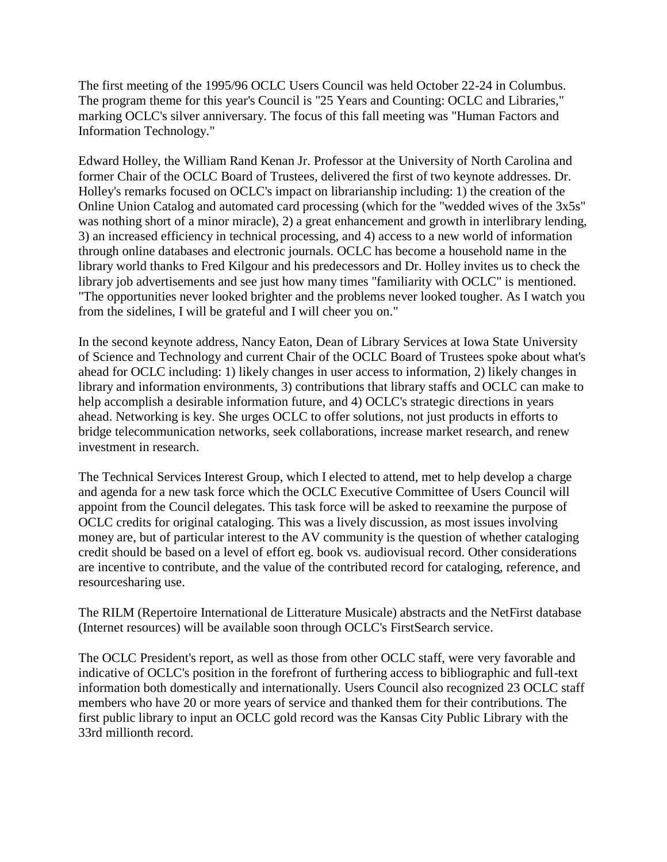The first meeting of the 1995/96 OCLC Users Council was held October 22-24 in Columbus. The program theme for this year's Council is "25 Years and Counting: OCLC and Libraries," marking OCLC's silver anniversary. The focus of this fall meeting was "Human Factors and Information Technology."

Edward Holley, the William Rand Kenan Jr. Professor at the University of North Carolina and former Chair of the OCLC Board of Trustees, delivered the first of two keynote addresses. Dr. Holley's remarks focused on OCLC's impact on librarianship including: 1) the creation of the Online Union Catalog and automated card processing (which for the "wedded wives of the 3x5s" was nothing short of a minor miracle), 2) a great enhancement and growth in interlibrary lending, 3) an increased efficiency in technical processing, and 4) access to a new world of information through online databases and electronic journals. OCLC has become a household name in the library world thanks to Fred Kilgour and his predecessors and Dr. Holley invites us to check the library job advertisements and see just how many times "familiarity with OCLC" is mentioned. "The opportunities never looked brighter and the problems never looked tougher. As I watch you from the sidelines, I will be grateful and I will cheer you on."

In the second keynote address, Nancy Eaton, Dean of Library Services at Iowa State University of Science and Technology and current Chair of the OCLC Board of Trustees spoke about what's ahead for OCLC including: 1) likely changes in user access to information, 2) likely changes in library and information environments, 3) contributions that library staffs and OCLC can make to help accomplish a desirable information future, and 4) OCLC's strategic directions in years ahead. Networking is key. She urges OCLC to offer solutions, not just products in efforts to bridge telecommunication networks, seek collaborations, increase market research, and renew investment in research.

The Technical Services Interest Group, which I elected to attend, met to help develop a charge and agenda for a new task force which the OCLC Executive Committee of Users Council will appoint from the Council delegates. This task force will be asked to reexamine the purpose of OCLC credits for original cataloging. This was a lively discussion, as most issues involving money are, but of particular interest to the AV community is the question of whether cataloging credit should be based on a level of effort eg. book vs. audiovisual record. Other considerations are incentive to contribute, and the value of the contributed record for cataloging, reference, and resourcesharing use.

The RILM (Repertoire International de Litterature Musicale) abstracts and the NetFirst database (Internet resources) will be available soon through OCLC's FirstSearch service.

The OCLC President's report, as well as those from other OCLC staff, were very favorable and indicative of OCLC's position in the forefront of furthering access to bibliographic and full-text information both domestically and internationally. Users Council also recognized 23 OCLC staff members who have 20 or more years of service and thanked them for their contributions. The first public library to input an OCLC gold record was the Kansas City Public Library with the 33rd millionth record.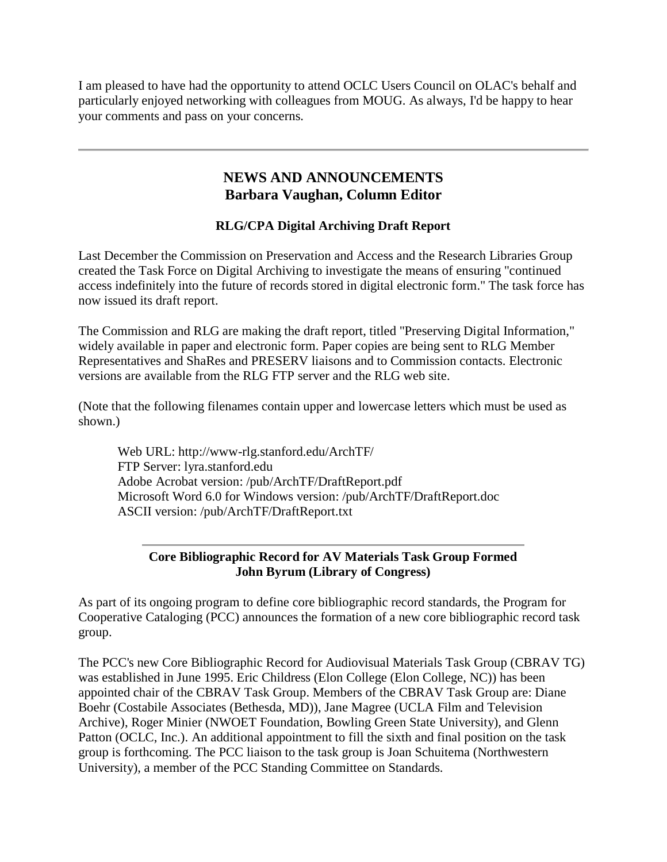I am pleased to have had the opportunity to attend OCLC Users Council on OLAC's behalf and particularly enjoyed networking with colleagues from MOUG. As always, I'd be happy to hear your comments and pass on your concerns.

# **NEWS AND ANNOUNCEMENTS Barbara Vaughan, Column Editor**

# **RLG/CPA Digital Archiving Draft Report**

Last December the Commission on Preservation and Access and the Research Libraries Group created the Task Force on Digital Archiving to investigate the means of ensuring "continued access indefinitely into the future of records stored in digital electronic form." The task force has now issued its draft report.

The Commission and RLG are making the draft report, titled "Preserving Digital Information," widely available in paper and electronic form. Paper copies are being sent to RLG Member Representatives and ShaRes and PRESERV liaisons and to Commission contacts. Electronic versions are available from the RLG FTP server and the RLG web site.

(Note that the following filenames contain upper and lowercase letters which must be used as shown.)

Web URL: http://www-rlg.stanford.edu/ArchTF/ FTP Server: lyra.stanford.edu Adobe Acrobat version: /pub/ArchTF/DraftReport.pdf Microsoft Word 6.0 for Windows version: /pub/ArchTF/DraftReport.doc ASCII version: /pub/ArchTF/DraftReport.txt

## **Core Bibliographic Record for AV Materials Task Group Formed John Byrum (Library of Congress)**

As part of its ongoing program to define core bibliographic record standards, the Program for Cooperative Cataloging (PCC) announces the formation of a new core bibliographic record task group.

The PCC's new Core Bibliographic Record for Audiovisual Materials Task Group (CBRAV TG) was established in June 1995. Eric Childress (Elon College (Elon College, NC)) has been appointed chair of the CBRAV Task Group. Members of the CBRAV Task Group are: Diane Boehr (Costabile Associates (Bethesda, MD)), Jane Magree (UCLA Film and Television Archive), Roger Minier (NWOET Foundation, Bowling Green State University), and Glenn Patton (OCLC, Inc.). An additional appointment to fill the sixth and final position on the task group is forthcoming. The PCC liaison to the task group is Joan Schuitema (Northwestern University), a member of the PCC Standing Committee on Standards.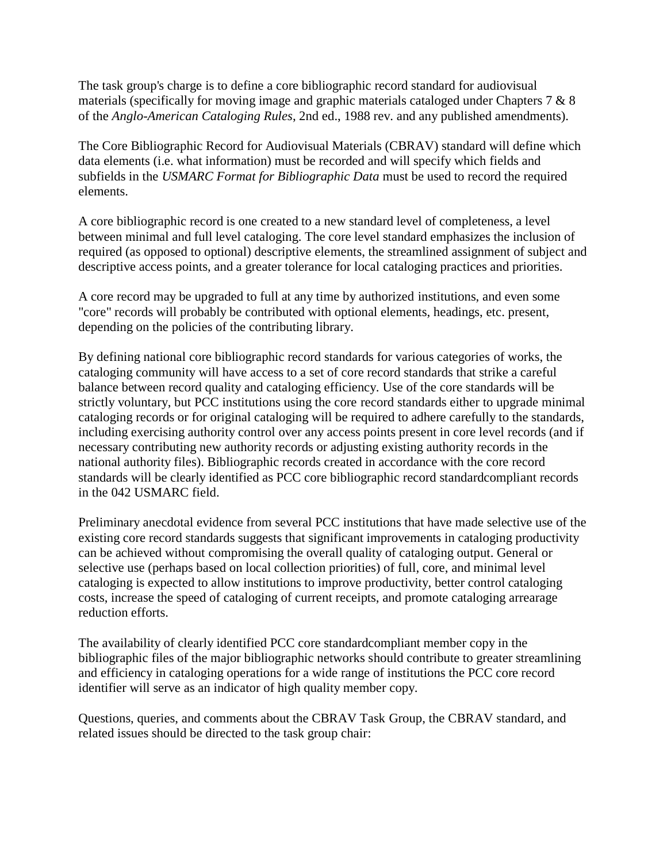The task group's charge is to define a core bibliographic record standard for audiovisual materials (specifically for moving image and graphic materials cataloged under Chapters 7 & 8 of the *Anglo-American Cataloging Rules*, 2nd ed., 1988 rev. and any published amendments).

The Core Bibliographic Record for Audiovisual Materials (CBRAV) standard will define which data elements (i.e. what information) must be recorded and will specify which fields and subfields in the *USMARC Format for Bibliographic Data* must be used to record the required elements.

A core bibliographic record is one created to a new standard level of completeness, a level between minimal and full level cataloging. The core level standard emphasizes the inclusion of required (as opposed to optional) descriptive elements, the streamlined assignment of subject and descriptive access points, and a greater tolerance for local cataloging practices and priorities.

A core record may be upgraded to full at any time by authorized institutions, and even some "core" records will probably be contributed with optional elements, headings, etc. present, depending on the policies of the contributing library.

By defining national core bibliographic record standards for various categories of works, the cataloging community will have access to a set of core record standards that strike a careful balance between record quality and cataloging efficiency. Use of the core standards will be strictly voluntary, but PCC institutions using the core record standards either to upgrade minimal cataloging records or for original cataloging will be required to adhere carefully to the standards, including exercising authority control over any access points present in core level records (and if necessary contributing new authority records or adjusting existing authority records in the national authority files). Bibliographic records created in accordance with the core record standards will be clearly identified as PCC core bibliographic record standardcompliant records in the 042 USMARC field.

Preliminary anecdotal evidence from several PCC institutions that have made selective use of the existing core record standards suggests that significant improvements in cataloging productivity can be achieved without compromising the overall quality of cataloging output. General or selective use (perhaps based on local collection priorities) of full, core, and minimal level cataloging is expected to allow institutions to improve productivity, better control cataloging costs, increase the speed of cataloging of current receipts, and promote cataloging arrearage reduction efforts.

The availability of clearly identified PCC core standardcompliant member copy in the bibliographic files of the major bibliographic networks should contribute to greater streamlining and efficiency in cataloging operations for a wide range of institutions the PCC core record identifier will serve as an indicator of high quality member copy.

Questions, queries, and comments about the CBRAV Task Group, the CBRAV standard, and related issues should be directed to the task group chair: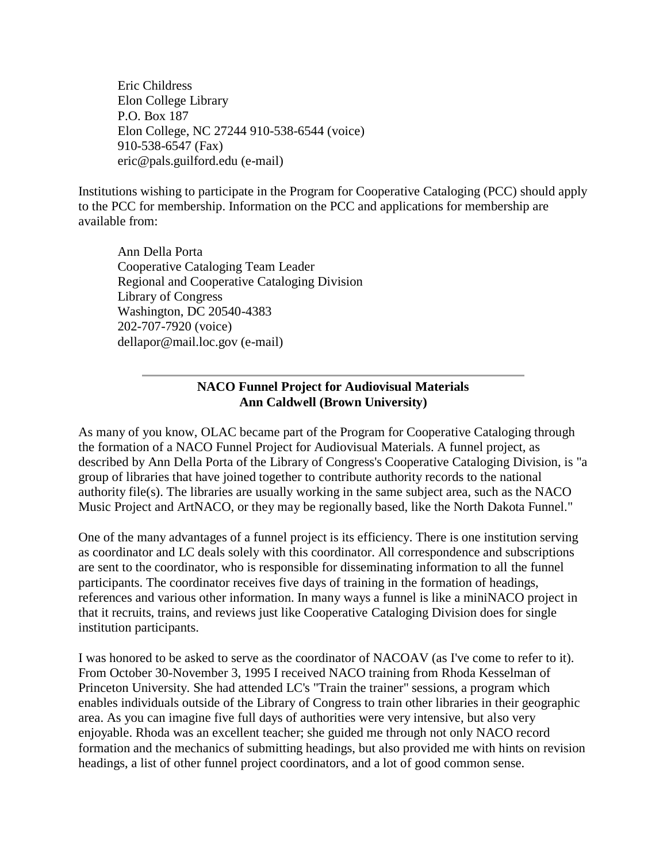Eric Childress Elon College Library P.O. Box 187 Elon College, NC 27244 910-538-6544 (voice) 910-538-6547 (Fax) [eric@pals.guilford.edu \(e-mail\)](mailto:eric@pals.guilford.edu)

Institutions wishing to participate in the Program for Cooperative Cataloging (PCC) should apply to the PCC for membership. Information on the PCC and applications for membership are available from:

Ann Della Porta Cooperative Cataloging Team Leader Regional and Cooperative Cataloging Division Library of Congress Washington, DC 20540-4383 202-707-7920 (voice) [dellapor@mail.loc.gov \(e-mail\)](mailto:dellapor@mail.loc.gov)

## **NACO Funnel Project for Audiovisual Materials Ann Caldwell (Brown University)**

As many of you know, OLAC became part of the Program for Cooperative Cataloging through the formation of a NACO Funnel Project for Audiovisual Materials. A funnel project, as described by Ann Della Porta of the Library of Congress's Cooperative Cataloging Division, is "a group of libraries that have joined together to contribute authority records to the national authority file(s). The libraries are usually working in the same subject area, such as the NACO Music Project and ArtNACO, or they may be regionally based, like the North Dakota Funnel."

One of the many advantages of a funnel project is its efficiency. There is one institution serving as coordinator and LC deals solely with this coordinator. All correspondence and subscriptions are sent to the coordinator, who is responsible for disseminating information to all the funnel participants. The coordinator receives five days of training in the formation of headings, references and various other information. In many ways a funnel is like a miniNACO project in that it recruits, trains, and reviews just like Cooperative Cataloging Division does for single institution participants.

I was honored to be asked to serve as the coordinator of NACOAV (as I've come to refer to it). From October 30-November 3, 1995 I received NACO training from Rhoda Kesselman of Princeton University. She had attended LC's "Train the trainer" sessions, a program which enables individuals outside of the Library of Congress to train other libraries in their geographic area. As you can imagine five full days of authorities were very intensive, but also very enjoyable. Rhoda was an excellent teacher; she guided me through not only NACO record formation and the mechanics of submitting headings, but also provided me with hints on revision headings, a list of other funnel project coordinators, and a lot of good common sense.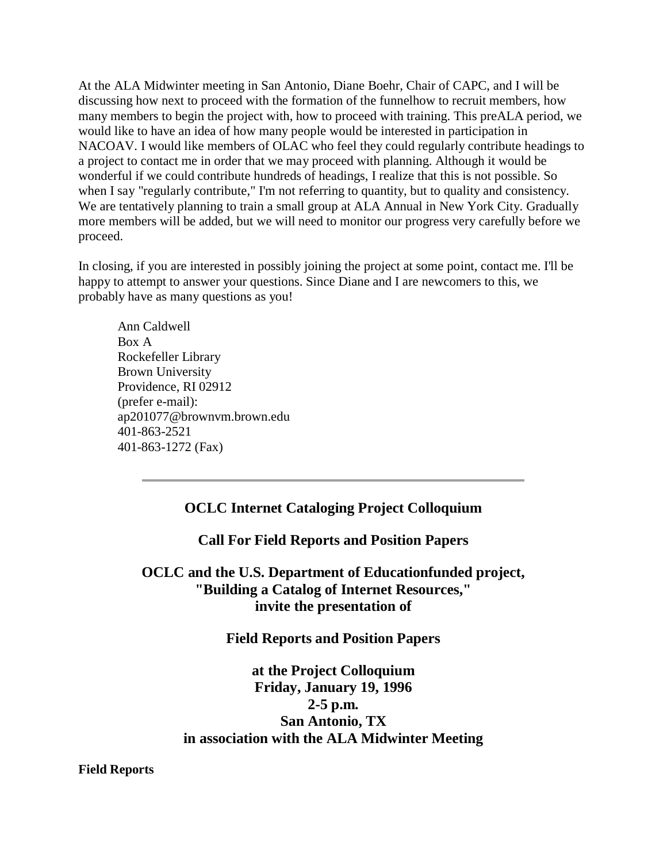At the ALA Midwinter meeting in San Antonio, Diane Boehr, Chair of CAPC, and I will be discussing how next to proceed with the formation of the funnelhow to recruit members, how many members to begin the project with, how to proceed with training. This preALA period, we would like to have an idea of how many people would be interested in participation in NACOAV. I would like members of OLAC who feel they could regularly contribute headings to a project to contact me in order that we may proceed with planning. Although it would be wonderful if we could contribute hundreds of headings, I realize that this is not possible. So when I say "regularly contribute," I'm not referring to quantity, but to quality and consistency. We are tentatively planning to train a small group at ALA Annual in New York City. Gradually more members will be added, but we will need to monitor our progress very carefully before we proceed.

In closing, if you are interested in possibly joining the project at some point, contact me. I'll be happy to attempt to answer your questions. Since Diane and I are newcomers to this, we probably have as many questions as you!

Ann Caldwell Box A Rockefeller Library Brown University Providence, RI 02912 (prefer e-mail): [ap201077@brownvm.brown.edu](mailto:ap201077@brownvm.brown.edu) 401-863-2521 401-863-1272 (Fax)

# **OCLC Internet Cataloging Project Colloquium**

**Call For Field Reports and Position Papers** 

**OCLC and the U.S. Department of Educationfunded project, "Building a Catalog of Internet Resources," invite the presentation of**

## **Field Reports and Position Papers**

**at the Project Colloquium Friday, January 19, 1996 2-5 p.m. San Antonio, TX in association with the ALA Midwinter Meeting**

**Field Reports**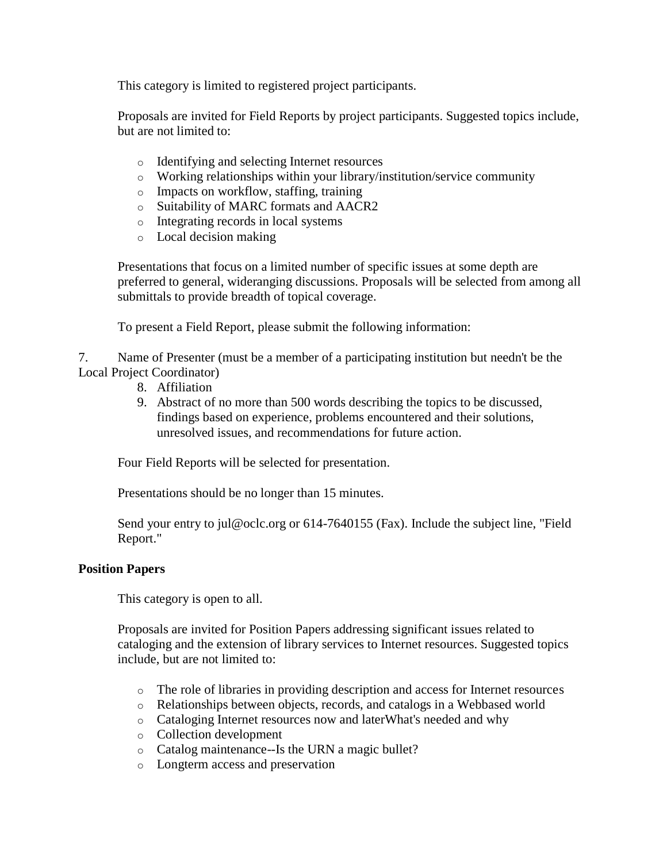This category is limited to registered project participants.

Proposals are invited for Field Reports by project participants. Suggested topics include, but are not limited to:

- o Identifying and selecting Internet resources
- o Working relationships within your library/institution/service community
- o Impacts on workflow, staffing, training
- o Suitability of MARC formats and AACR2
- o Integrating records in local systems
- o Local decision making

Presentations that focus on a limited number of specific issues at some depth are preferred to general, wideranging discussions. Proposals will be selected from among all submittals to provide breadth of topical coverage.

To present a Field Report, please submit the following information:

7. Name of Presenter (must be a member of a participating institution but needn't be the Local Project Coordinator)

- 8. Affiliation
- 9. Abstract of no more than 500 words describing the topics to be discussed, findings based on experience, problems encountered and their solutions, unresolved issues, and recommendations for future action.

Four Field Reports will be selected for presentation.

Presentations should be no longer than 15 minutes.

Send your entry to jul@oclc.org or 614-7640155 (Fax). Include the subject line, "Field Report."

#### **Position Papers**

This category is open to all.

Proposals are invited for Position Papers addressing significant issues related to cataloging and the extension of library services to Internet resources. Suggested topics include, but are not limited to:

- o The role of libraries in providing description and access for Internet resources
- o Relationships between objects, records, and catalogs in a Webbased world
- o Cataloging Internet resources now and laterWhat's needed and why
- o Collection development
- o Catalog maintenance--Is the URN a magic bullet?
- o Longterm access and preservation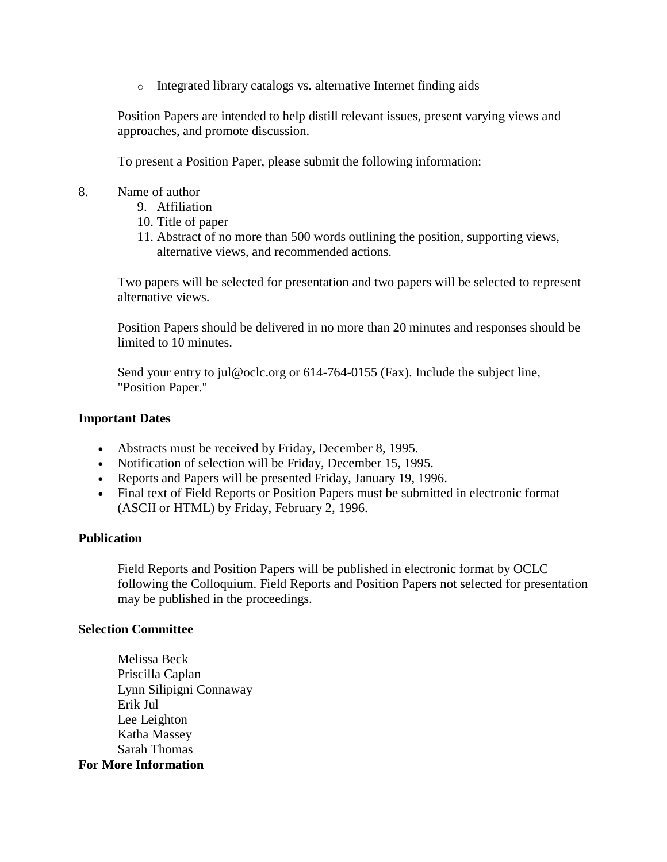o Integrated library catalogs vs. alternative Internet finding aids

Position Papers are intended to help distill relevant issues, present varying views and approaches, and promote discussion.

To present a Position Paper, please submit the following information:

- 8. Name of author
	- 9. Affiliation
	- 10. Title of paper
	- 11. Abstract of no more than 500 words outlining the position, supporting views, alternative views, and recommended actions.

Two papers will be selected for presentation and two papers will be selected to represent alternative views.

Position Papers should be delivered in no more than 20 minutes and responses should be limited to 10 minutes.

Send your entry to jul@oclc.org or 614-764-0155 (Fax). Include the subject line, "Position Paper."

#### **Important Dates**

- Abstracts must be received by Friday, December 8, 1995.
- Notification of selection will be Friday, December 15, 1995.
- Reports and Papers will be presented Friday, January 19, 1996.
- Final text of Field Reports or Position Papers must be submitted in electronic format (ASCII or HTML) by Friday, February 2, 1996.

#### **Publication**

Field Reports and Position Papers will be published in electronic format by OCLC following the Colloquium. Field Reports and Position Papers not selected for presentation may be published in the proceedings.

#### **Selection Committee**

Melissa Beck Priscilla Caplan Lynn Silipigni Connaway Erik Jul Lee Leighton Katha Massey Sarah Thomas **For More Information**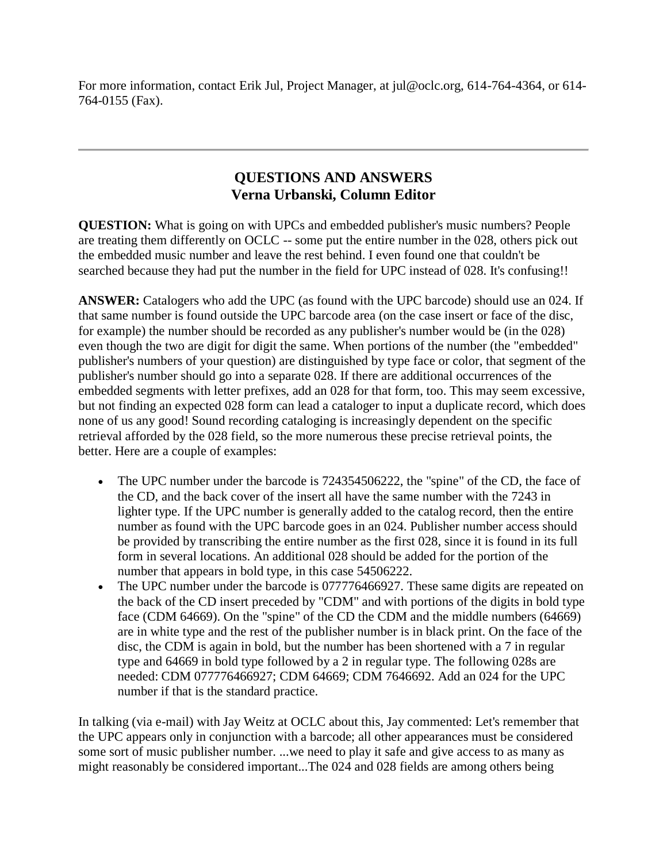For more information, contact Erik Jul, Project Manager, at jul@oclc.org, 614-764-4364, or 614- 764-0155 (Fax).

# **QUESTIONS AND ANSWERS Verna Urbanski, Column Editor**

**QUESTION:** What is going on with UPCs and embedded publisher's music numbers? People are treating them differently on OCLC -- some put the entire number in the 028, others pick out the embedded music number and leave the rest behind. I even found one that couldn't be searched because they had put the number in the field for UPC instead of 028. It's confusing!!

**ANSWER:** Catalogers who add the UPC (as found with the UPC barcode) should use an 024. If that same number is found outside the UPC barcode area (on the case insert or face of the disc, for example) the number should be recorded as any publisher's number would be (in the 028) even though the two are digit for digit the same. When portions of the number (the "embedded" publisher's numbers of your question) are distinguished by type face or color, that segment of the publisher's number should go into a separate 028. If there are additional occurrences of the embedded segments with letter prefixes, add an 028 for that form, too. This may seem excessive, but not finding an expected 028 form can lead a cataloger to input a duplicate record, which does none of us any good! Sound recording cataloging is increasingly dependent on the specific retrieval afforded by the 028 field, so the more numerous these precise retrieval points, the better. Here are a couple of examples:

- The UPC number under the barcode is 724354506222, the "spine" of the CD, the face of the CD, and the back cover of the insert all have the same number with the 7243 in lighter type. If the UPC number is generally added to the catalog record, then the entire number as found with the UPC barcode goes in an 024. Publisher number access should be provided by transcribing the entire number as the first 028, since it is found in its full form in several locations. An additional 028 should be added for the portion of the number that appears in bold type, in this case 54506222.
- The UPC number under the barcode is 077776466927. These same digits are repeated on the back of the CD insert preceded by "CDM" and with portions of the digits in bold type face (CDM 64669). On the "spine" of the CD the CDM and the middle numbers (64669) are in white type and the rest of the publisher number is in black print. On the face of the disc, the CDM is again in bold, but the number has been shortened with a 7 in regular type and 64669 in bold type followed by a 2 in regular type. The following 028s are needed: CDM 077776466927; CDM 64669; CDM 7646692. Add an 024 for the UPC number if that is the standard practice.

In talking (via e-mail) with Jay Weitz at OCLC about this, Jay commented: Let's remember that the UPC appears only in conjunction with a barcode; all other appearances must be considered some sort of music publisher number. ...we need to play it safe and give access to as many as might reasonably be considered important...The 024 and 028 fields are among others being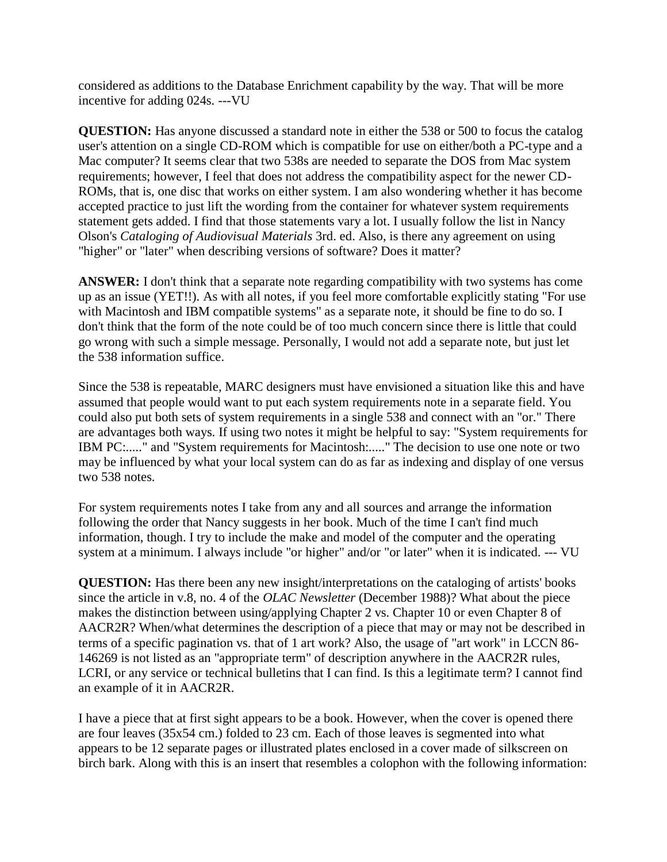considered as additions to the Database Enrichment capability by the way. That will be more incentive for adding 024s. ---VU

**QUESTION:** Has anyone discussed a standard note in either the 538 or 500 to focus the catalog user's attention on a single CD-ROM which is compatible for use on either/both a PC-type and a Mac computer? It seems clear that two 538s are needed to separate the DOS from Mac system requirements; however, I feel that does not address the compatibility aspect for the newer CD-ROMs, that is, one disc that works on either system. I am also wondering whether it has become accepted practice to just lift the wording from the container for whatever system requirements statement gets added. I find that those statements vary a lot. I usually follow the list in Nancy Olson's *Cataloging of Audiovisual Materials* 3rd. ed. Also, is there any agreement on using "higher" or "later" when describing versions of software? Does it matter?

**ANSWER:** I don't think that a separate note regarding compatibility with two systems has come up as an issue (YET!!). As with all notes, if you feel more comfortable explicitly stating "For use with Macintosh and IBM compatible systems" as a separate note, it should be fine to do so. I don't think that the form of the note could be of too much concern since there is little that could go wrong with such a simple message. Personally, I would not add a separate note, but just let the 538 information suffice.

Since the 538 is repeatable, MARC designers must have envisioned a situation like this and have assumed that people would want to put each system requirements note in a separate field. You could also put both sets of system requirements in a single 538 and connect with an "or." There are advantages both ways. If using two notes it might be helpful to say: "System requirements for IBM PC:....." and "System requirements for Macintosh:....." The decision to use one note or two may be influenced by what your local system can do as far as indexing and display of one versus two 538 notes.

For system requirements notes I take from any and all sources and arrange the information following the order that Nancy suggests in her book. Much of the time I can't find much information, though. I try to include the make and model of the computer and the operating system at a minimum. I always include "or higher" and/or "or later" when it is indicated. --- VU

**QUESTION:** Has there been any new insight/interpretations on the cataloging of artists' books since the article in v.8, no. 4 of the *OLAC Newsletter* (December 1988)? What about the piece makes the distinction between using/applying Chapter 2 vs. Chapter 10 or even Chapter 8 of AACR2R? When/what determines the description of a piece that may or may not be described in terms of a specific pagination vs. that of 1 art work? Also, the usage of "art work" in LCCN 86- 146269 is not listed as an "appropriate term" of description anywhere in the AACR2R rules, LCRI, or any service or technical bulletins that I can find. Is this a legitimate term? I cannot find an example of it in AACR2R.

I have a piece that at first sight appears to be a book. However, when the cover is opened there are four leaves (35x54 cm.) folded to 23 cm. Each of those leaves is segmented into what appears to be 12 separate pages or illustrated plates enclosed in a cover made of silkscreen on birch bark. Along with this is an insert that resembles a colophon with the following information: